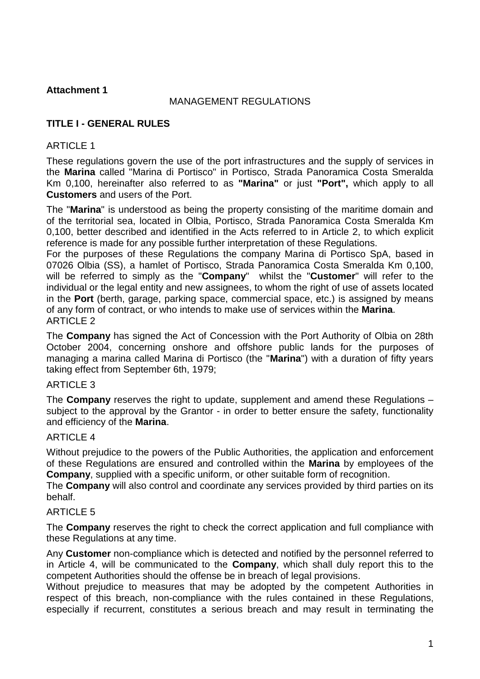### MANAGEMENT REGULATIONS

# **TITLE I - GENERAL RULES**

### ARTICLE 1

These regulations govern the use of the port infrastructures and the supply of services in the **Marina** called "Marina di Portisco" in Portisco, Strada Panoramica Costa Smeralda Km 0,100, hereinafter also referred to as **"Marina"** or just **"Port",** which apply to all **Customers** and users of the Port.

The "**Marina**" is understood as being the property consisting of the maritime domain and of the territorial sea, located in Olbia, Portisco, Strada Panoramica Costa Smeralda Km 0,100, better described and identified in the Acts referred to in Article 2, to which explicit reference is made for any possible further interpretation of these Regulations.

For the purposes of these Regulations the company Marina di Portisco SpA, based in 07026 Olbia (SS), a hamlet of Portisco, Strada Panoramica Costa Smeralda Km 0,100, will be referred to simply as the "**Company**" whilst the "**Customer**" will refer to the individual or the legal entity and new assignees, to whom the right of use of assets located in the **Port** (berth, garage, parking space, commercial space, etc.) is assigned by means of any form of contract, or who intends to make use of services within the **Marina**. ARTICLE 2

The **Company** has signed the Act of Concession with the Port Authority of Olbia on 28th October 2004, concerning onshore and offshore public lands for the purposes of managing a marina called Marina di Portisco (the "**Marina**") with a duration of fifty years taking effect from September 6th, 1979;

### ARTICLE 3

The **Company** reserves the right to update, supplement and amend these Regulations – subject to the approval by the Grantor - in order to better ensure the safety, functionality and efficiency of the **Marina**.

### ARTICLE 4

Without prejudice to the powers of the Public Authorities, the application and enforcement of these Regulations are ensured and controlled within the **Marina** by employees of the **Company**, supplied with a specific uniform, or other suitable form of recognition.

The **Company** will also control and coordinate any services provided by third parties on its behalf.

# **ARTICLE 5**

The **Company** reserves the right to check the correct application and full compliance with these Regulations at any time.

Any **Customer** non-compliance which is detected and notified by the personnel referred to in Article 4, will be communicated to the **Company**, which shall duly report this to the competent Authorities should the offense be in breach of legal provisions.

Without prejudice to measures that may be adopted by the competent Authorities in respect of this breach, non-compliance with the rules contained in these Regulations, especially if recurrent, constitutes a serious breach and may result in terminating the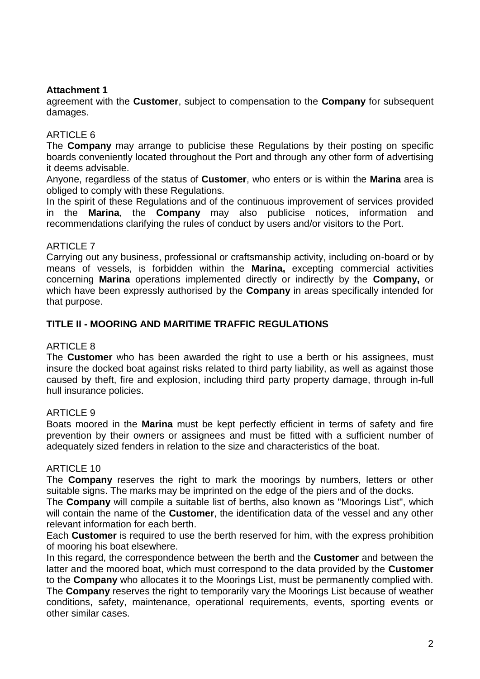agreement with the **Customer**, subject to compensation to the **Company** for subsequent damages.

### ARTICLE 6

The **Company** may arrange to publicise these Regulations by their posting on specific boards conveniently located throughout the Port and through any other form of advertising it deems advisable.

Anyone, regardless of the status of **Customer**, who enters or is within the **Marina** area is obliged to comply with these Regulations.

In the spirit of these Regulations and of the continuous improvement of services provided in the **Marina**, the **Company** may also publicise notices, information and recommendations clarifying the rules of conduct by users and/or visitors to the Port.

### ARTICLE 7

Carrying out any business, professional or craftsmanship activity, including on-board or by means of vessels, is forbidden within the **Marina,** excepting commercial activities concerning **Marina** operations implemented directly or indirectly by the **Company,** or which have been expressly authorised by the **Company** in areas specifically intended for that purpose.

### **TITLE II - MOORING AND MARITIME TRAFFIC REGULATIONS**

### ARTICLE 8

The **Customer** who has been awarded the right to use a berth or his assignees, must insure the docked boat against risks related to third party liability, as well as against those caused by theft, fire and explosion, including third party property damage, through in-full hull insurance policies.

### ARTICLE 9

Boats moored in the **Marina** must be kept perfectly efficient in terms of safety and fire prevention by their owners or assignees and must be fitted with a sufficient number of adequately sized fenders in relation to the size and characteristics of the boat.

### ARTICLE 10

The **Company** reserves the right to mark the moorings by numbers, letters or other suitable signs. The marks may be imprinted on the edge of the piers and of the docks.

The **Company** will compile a suitable list of berths, also known as "Moorings List", which will contain the name of the **Customer**, the identification data of the vessel and any other relevant information for each berth.

Each **Customer** is required to use the berth reserved for him, with the express prohibition of mooring his boat elsewhere.

In this regard, the correspondence between the berth and the **Customer** and between the latter and the moored boat, which must correspond to the data provided by the **Customer** to the **Company** who allocates it to the Moorings List, must be permanently complied with. The **Company** reserves the right to temporarily vary the Moorings List because of weather conditions, safety, maintenance, operational requirements, events, sporting events or other similar cases.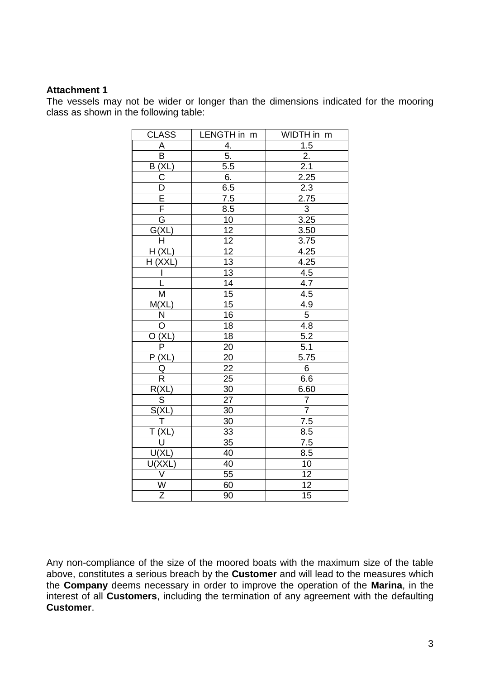The vessels may not be wider or longer than the dimensions indicated for the mooring class as shown in the following table:

| <b>CLASS</b>                                                                                                                                            | LENGTH in m                                           | WIDTH in m                              |
|---------------------------------------------------------------------------------------------------------------------------------------------------------|-------------------------------------------------------|-----------------------------------------|
| A                                                                                                                                                       | 4.                                                    | 1.5                                     |
| $\overline{\mathsf{B}}$                                                                                                                                 | $\overline{5}$ .                                      | 2.                                      |
| $\frac{B(XL)}{C}$                                                                                                                                       | 5.5                                                   | 2.1                                     |
|                                                                                                                                                         |                                                       |                                         |
|                                                                                                                                                         | $\frac{6}{6.5}$                                       |                                         |
| $\frac{\overline{D}}{\overline{E}}$ $\frac{\overline{F}}{\overline{G}}$                                                                                 | $\frac{7.5}{8.5}$                                     | $\frac{2.25}{2.3}$ $\frac{2.75}{3}$     |
|                                                                                                                                                         |                                                       |                                         |
|                                                                                                                                                         | 10                                                    | 3.25                                    |
| G(XL)                                                                                                                                                   | $\overline{12}$                                       | 3.50                                    |
| Ħ                                                                                                                                                       |                                                       | 3.75                                    |
| H(XL)                                                                                                                                                   |                                                       | 4.25                                    |
| H (XXL)                                                                                                                                                 | $\frac{12}{12}$<br>$\frac{13}{13}$<br>$\frac{14}{15}$ | $\frac{4.25}{4.5}$<br>$\frac{4.5}{4.7}$ |
| $\frac{1}{1}$                                                                                                                                           |                                                       |                                         |
|                                                                                                                                                         |                                                       |                                         |
| $\overline{\mathsf{M}}$                                                                                                                                 |                                                       | 4.5                                     |
| M(XL)                                                                                                                                                   | $\overline{15}$                                       | $\frac{4.9}{5}$                         |
| $\begin{array}{c c}\n & N \\ \hline\n0 & \bigcirc \\ \hline\n0 & (XL) \\ \hline\nP & \bigcirc \\ \hline\nP & (XL) \\ \hline\n0 & \bigcirc\n\end{array}$ | $\overline{16}$                                       |                                         |
|                                                                                                                                                         | $\overline{18}$                                       | 4.8                                     |
|                                                                                                                                                         | $\overline{18}$                                       | 5.2                                     |
|                                                                                                                                                         | $\overline{20}$                                       | 5.1                                     |
|                                                                                                                                                         | $\overline{20}$                                       | 5.75                                    |
|                                                                                                                                                         | $\overline{22}$                                       | $\overline{6}$                          |
| $\overline{\mathsf{R}}$                                                                                                                                 | $\overline{25}$                                       | 6.6                                     |
| R(XL)                                                                                                                                                   | 30                                                    | 6.60                                    |
|                                                                                                                                                         | $\overline{27}$                                       | $\frac{7}{7}$                           |
| $\frac{S}{S(XL)}$                                                                                                                                       | $\overline{30}$                                       |                                         |
|                                                                                                                                                         | $\overline{30}$                                       | 7.5                                     |
|                                                                                                                                                         | $\overline{33}$                                       | 8.5                                     |
|                                                                                                                                                         | $\overline{35}$                                       | $\overline{7.5}$                        |
| $\frac{1}{T}$ $\frac{T(XL)}{U(U(L))}$                                                                                                                   | 40                                                    | 8.5                                     |
| $\frac{U(XXL)}{V}$ $\frac{V}{Z}$                                                                                                                        | 40                                                    | 10                                      |
|                                                                                                                                                         | 55                                                    | 12                                      |
|                                                                                                                                                         | 60                                                    | $\frac{12}{15}$                         |
|                                                                                                                                                         | $\overline{90}$                                       |                                         |

Any non-compliance of the size of the moored boats with the maximum size of the table above, constitutes a serious breach by the **Customer** and will lead to the measures which the **Company** deems necessary in order to improve the operation of the **Marina**, in the interest of all **Customers**, including the termination of any agreement with the defaulting **Customer**.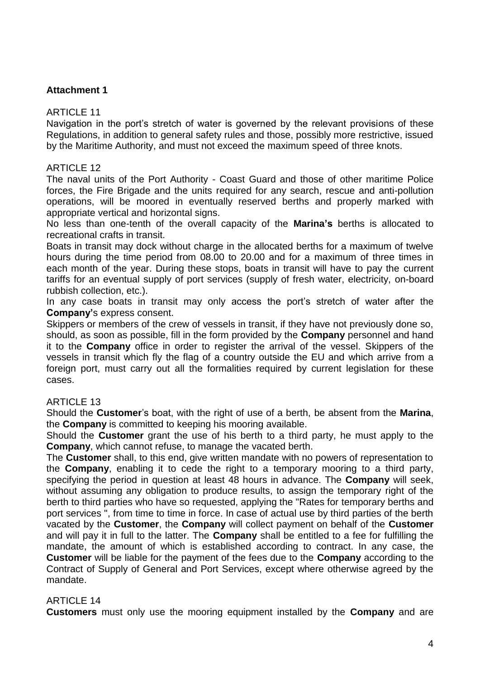#### ARTICLE 11

Navigation in the port's stretch of water is governed by the relevant provisions of these Regulations, in addition to general safety rules and those, possibly more restrictive, issued by the Maritime Authority, and must not exceed the maximum speed of three knots.

#### ARTICLE 12

The naval units of the Port Authority - Coast Guard and those of other maritime Police forces, the Fire Brigade and the units required for any search, rescue and anti-pollution operations, will be moored in eventually reserved berths and properly marked with appropriate vertical and horizontal signs.

No less than one-tenth of the overall capacity of the **Marina's** berths is allocated to recreational crafts in transit.

Boats in transit may dock without charge in the allocated berths for a maximum of twelve hours during the time period from 08.00 to 20.00 and for a maximum of three times in each month of the year. During these stops, boats in transit will have to pay the current tariffs for an eventual supply of port services (supply of fresh water, electricity, on-board rubbish collection, etc.).

In any case boats in transit may only access the port's stretch of water after the **Company'**s express consent.

Skippers or members of the crew of vessels in transit, if they have not previously done so, should, as soon as possible, fill in the form provided by the **Company** personnel and hand it to the **Company** office in order to register the arrival of the vessel. Skippers of the vessels in transit which fly the flag of a country outside the EU and which arrive from a foreign port, must carry out all the formalities required by current legislation for these cases.

### **ARTICLE 13**

Should the **Customer**'s boat, with the right of use of a berth, be absent from the **Marina**, the **Company** is committed to keeping his mooring available.

Should the **Customer** grant the use of his berth to a third party, he must apply to the **Company**, which cannot refuse, to manage the vacated berth.

The **Customer** shall, to this end, give written mandate with no powers of representation to the **Company**, enabling it to cede the right to a temporary mooring to a third party, specifying the period in question at least 48 hours in advance. The **Company** will seek, without assuming any obligation to produce results, to assign the temporary right of the berth to third parties who have so requested, applying the "Rates for temporary berths and port services ", from time to time in force. In case of actual use by third parties of the berth vacated by the **Customer**, the **Company** will collect payment on behalf of the **Customer** and will pay it in full to the latter. The **Company** shall be entitled to a fee for fulfilling the mandate, the amount of which is established according to contract. In any case, the **Customer** will be liable for the payment of the fees due to the **Company** according to the Contract of Supply of General and Port Services, except where otherwise agreed by the mandate.

### **ARTICLE 14**

**Customers** must only use the mooring equipment installed by the **Company** and are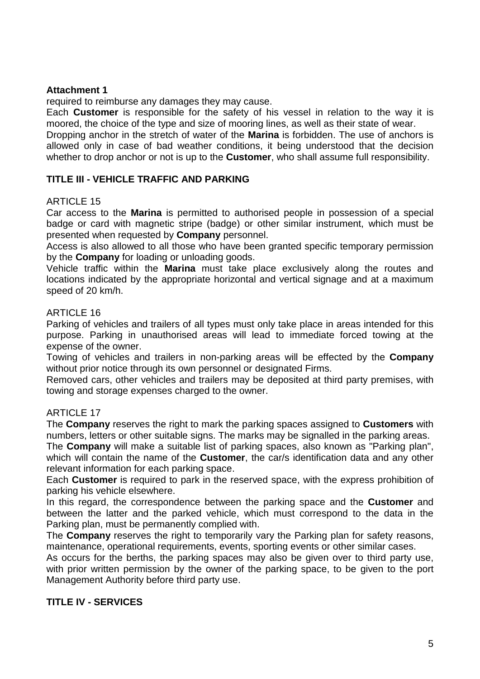required to reimburse any damages they may cause.

Each **Customer** is responsible for the safety of his vessel in relation to the way it is moored, the choice of the type and size of mooring lines, as well as their state of wear. Dropping anchor in the stretch of water of the **Marina** is forbidden. The use of anchors is allowed only in case of bad weather conditions, it being understood that the decision whether to drop anchor or not is up to the **Customer**, who shall assume full responsibility.

# **TITLE III - VEHICLE TRAFFIC AND PARKING**

### **ARTICLE 15**

Car access to the **Marina** is permitted to authorised people in possession of a special badge or card with magnetic stripe (badge) or other similar instrument, which must be presented when requested by **Company** personnel.

Access is also allowed to all those who have been granted specific temporary permission by the **Company** for loading or unloading goods.

Vehicle traffic within the **Marina** must take place exclusively along the routes and locations indicated by the appropriate horizontal and vertical signage and at a maximum speed of 20 km/h.

### ARTICLE 16

Parking of vehicles and trailers of all types must only take place in areas intended for this purpose. Parking in unauthorised areas will lead to immediate forced towing at the expense of the owner.

Towing of vehicles and trailers in non-parking areas will be effected by the **Company** without prior notice through its own personnel or designated Firms.

Removed cars, other vehicles and trailers may be deposited at third party premises, with towing and storage expenses charged to the owner.

# ARTICLE 17

The **Company** reserves the right to mark the parking spaces assigned to **Customers** with numbers, letters or other suitable signs. The marks may be signalled in the parking areas.

The **Company** will make a suitable list of parking spaces, also known as "Parking plan", which will contain the name of the **Customer**, the car/s identification data and any other relevant information for each parking space.

Each **Customer** is required to park in the reserved space, with the express prohibition of parking his vehicle elsewhere.

In this regard, the correspondence between the parking space and the **Customer** and between the latter and the parked vehicle, which must correspond to the data in the Parking plan, must be permanently complied with.

The **Company** reserves the right to temporarily vary the Parking plan for safety reasons, maintenance, operational requirements, events, sporting events or other similar cases.

As occurs for the berths, the parking spaces may also be given over to third party use, with prior written permission by the owner of the parking space, to be given to the port Management Authority before third party use.

# **TITLE IV - SERVICES**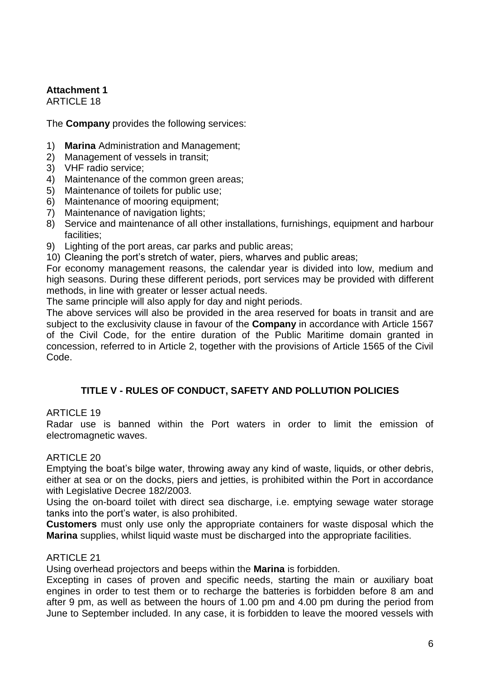ARTICLE 18

The **Company** provides the following services:

- 1) **Marina** Administration and Management;
- 2) Management of vessels in transit;
- 3) VHF radio service;
- 4) Maintenance of the common green areas;
- 5) Maintenance of toilets for public use;
- 6) Maintenance of mooring equipment;
- 7) Maintenance of navigation lights;
- 8) Service and maintenance of all other installations, furnishings, equipment and harbour facilities;
- 9) Lighting of the port areas, car parks and public areas;
- 10) Cleaning the port's stretch of water, piers, wharves and public areas;

For economy management reasons, the calendar year is divided into low, medium and high seasons. During these different periods, port services may be provided with different methods, in line with greater or lesser actual needs.

The same principle will also apply for day and night periods.

The above services will also be provided in the area reserved for boats in transit and are subject to the exclusivity clause in favour of the **Company** in accordance with Article 1567 of the Civil Code, for the entire duration of the Public Maritime domain granted in concession, referred to in Article 2, together with the provisions of Article 1565 of the Civil Code.

# **TITLE V - RULES OF CONDUCT, SAFETY AND POLLUTION POLICIES**

# ARTICLE 19

Radar use is banned within the Port waters in order to limit the emission of electromagnetic waves.

### ARTICLE 20

Emptying the boat's bilge water, throwing away any kind of waste, liquids, or other debris, either at sea or on the docks, piers and jetties, is prohibited within the Port in accordance with Legislative Decree 182/2003.

Using the on-board toilet with direct sea discharge, i.e. emptying sewage water storage tanks into the port's water, is also prohibited.

**Customers** must only use only the appropriate containers for waste disposal which the **Marina** supplies, whilst liquid waste must be discharged into the appropriate facilities.

# ARTICLE 21

Using overhead projectors and beeps within the **Marina** is forbidden.

Excepting in cases of proven and specific needs, starting the main or auxiliary boat engines in order to test them or to recharge the batteries is forbidden before 8 am and after 9 pm, as well as between the hours of 1.00 pm and 4.00 pm during the period from June to September included. In any case, it is forbidden to leave the moored vessels with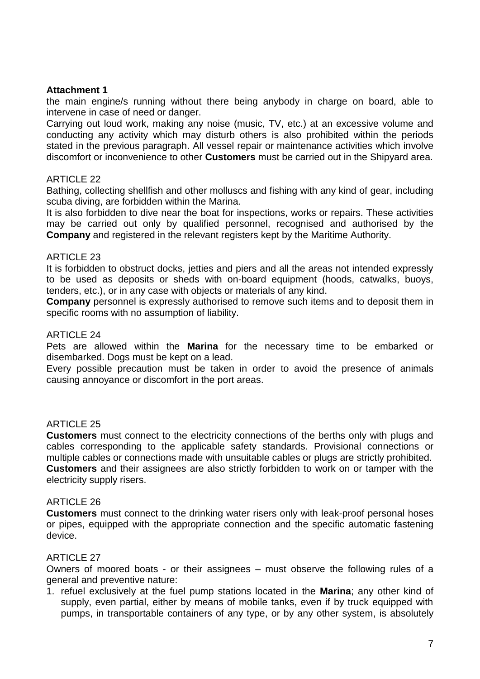the main engine/s running without there being anybody in charge on board, able to intervene in case of need or danger.

Carrying out loud work, making any noise (music, TV, etc.) at an excessive volume and conducting any activity which may disturb others is also prohibited within the periods stated in the previous paragraph. All vessel repair or maintenance activities which involve discomfort or inconvenience to other **Customers** must be carried out in the Shipyard area.

### ARTICLE 22

Bathing, collecting shellfish and other molluscs and fishing with any kind of gear, including scuba diving, are forbidden within the Marina.

It is also forbidden to dive near the boat for inspections, works or repairs. These activities may be carried out only by qualified personnel, recognised and authorised by the **Company** and registered in the relevant registers kept by the Maritime Authority.

### ARTICLE 23

It is forbidden to obstruct docks, jetties and piers and all the areas not intended expressly to be used as deposits or sheds with on-board equipment (hoods, catwalks, buoys, tenders, etc.), or in any case with objects or materials of any kind.

**Company** personnel is expressly authorised to remove such items and to deposit them in specific rooms with no assumption of liability.

### **ARTICLE 24**

Pets are allowed within the **Marina** for the necessary time to be embarked or disembarked. Dogs must be kept on a lead.

Every possible precaution must be taken in order to avoid the presence of animals causing annoyance or discomfort in the port areas.

### ARTICLE 25

**Customers** must connect to the electricity connections of the berths only with plugs and cables corresponding to the applicable safety standards. Provisional connections or multiple cables or connections made with unsuitable cables or plugs are strictly prohibited. **Customers** and their assignees are also strictly forbidden to work on or tamper with the electricity supply risers.

### ARTICLE 26

**Customers** must connect to the drinking water risers only with leak-proof personal hoses or pipes, equipped with the appropriate connection and the specific automatic fastening device.

### ARTICLE 27

Owners of moored boats - or their assignees – must observe the following rules of a general and preventive nature:

1. refuel exclusively at the fuel pump stations located in the **Marina**; any other kind of supply, even partial, either by means of mobile tanks, even if by truck equipped with pumps, in transportable containers of any type, or by any other system, is absolutely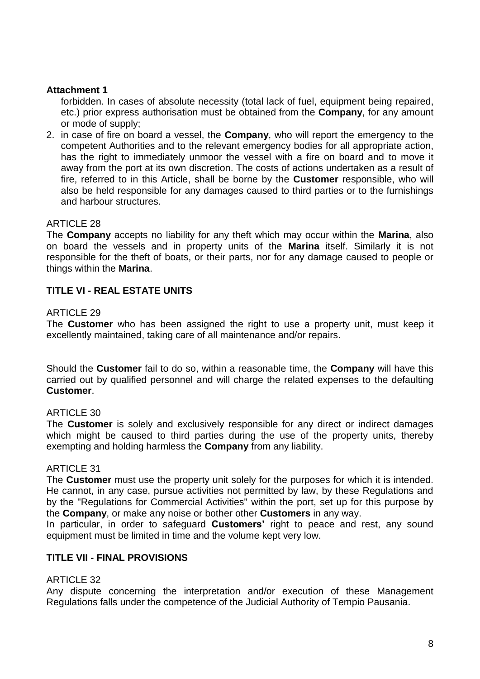forbidden. In cases of absolute necessity (total lack of fuel, equipment being repaired, etc.) prior express authorisation must be obtained from the **Company**, for any amount or mode of supply;

2. in case of fire on board a vessel, the **Company**, who will report the emergency to the competent Authorities and to the relevant emergency bodies for all appropriate action, has the right to immediately unmoor the vessel with a fire on board and to move it away from the port at its own discretion. The costs of actions undertaken as a result of fire, referred to in this Article, shall be borne by the **Customer** responsible, who will also be held responsible for any damages caused to third parties or to the furnishings and harbour structures.

### ARTICLE 28

The **Company** accepts no liability for any theft which may occur within the **Marina**, also on board the vessels and in property units of the **Marina** itself. Similarly it is not responsible for the theft of boats, or their parts, nor for any damage caused to people or things within the **Marina**.

# **TITLE VI - REAL ESTATE UNITS**

### ARTICLE 29

The **Customer** who has been assigned the right to use a property unit, must keep it excellently maintained, taking care of all maintenance and/or repairs.

Should the **Customer** fail to do so, within a reasonable time, the **Company** will have this carried out by qualified personnel and will charge the related expenses to the defaulting **Customer**.

### ARTICLE 30

The **Customer** is solely and exclusively responsible for any direct or indirect damages which might be caused to third parties during the use of the property units, thereby exempting and holding harmless the **Company** from any liability.

### ARTICLE 31

The **Customer** must use the property unit solely for the purposes for which it is intended. He cannot, in any case, pursue activities not permitted by law, by these Regulations and by the "Regulations for Commercial Activities" within the port, set up for this purpose by the **Company**, or make any noise or bother other **Customers** in any way.

In particular, in order to safeguard **Customers'** right to peace and rest, any sound equipment must be limited in time and the volume kept very low.

### **TITLE VII - FINAL PROVISIONS**

### ARTICLE 32

Any dispute concerning the interpretation and/or execution of these Management Regulations falls under the competence of the Judicial Authority of Tempio Pausania.